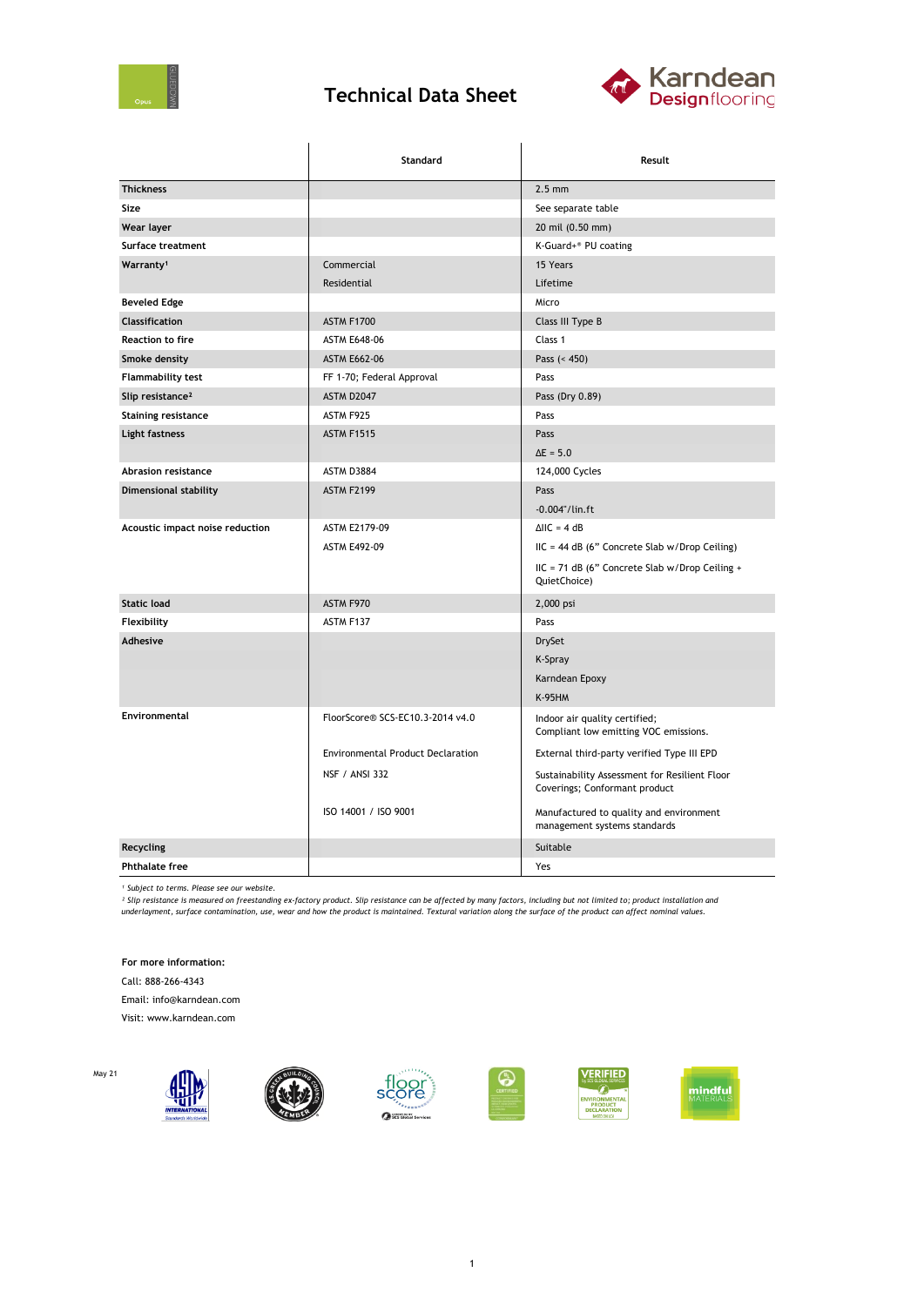

## **Technical Data Sheet**



|                                 | <b>Standard</b>                          | Result                                                                         |
|---------------------------------|------------------------------------------|--------------------------------------------------------------------------------|
| <b>Thickness</b>                |                                          | $2.5 \text{ mm}$                                                               |
| Size                            |                                          | See separate table                                                             |
| Wear layer                      |                                          | 20 mil (0.50 mm)                                                               |
| Surface treatment               |                                          | K-Guard+® PU coating                                                           |
| Warranty <sup>1</sup>           | Commercial                               | 15 Years                                                                       |
|                                 | Residential                              | Lifetime                                                                       |
| <b>Beveled Edge</b>             |                                          | Micro                                                                          |
| <b>Classification</b>           | <b>ASTM F1700</b>                        | Class III Type B                                                               |
| <b>Reaction to fire</b>         | <b>ASTM E648-06</b>                      | Class 1                                                                        |
| Smoke density                   | <b>ASTM E662-06</b>                      | Pass $(< 450)$                                                                 |
| Flammability test               | FF 1-70; Federal Approval                | Pass                                                                           |
| Slip resistance <sup>2</sup>    | ASTM D2047                               | Pass (Dry 0.89)                                                                |
| <b>Staining resistance</b>      | ASTM F925                                | Pass                                                                           |
| Light fastness                  | <b>ASTM F1515</b>                        | Pass                                                                           |
|                                 |                                          | $\Delta E = 5.0$                                                               |
| Abrasion resistance             | ASTM D3884                               | 124,000 Cycles                                                                 |
| Dimensional stability           | <b>ASTM F2199</b>                        | Pass<br>$-0.004$ "/lin.ft                                                      |
| Acoustic impact noise reduction | ASTM E2179-09                            | $\triangle$ IIC = 4 dB                                                         |
|                                 | <b>ASTM E492-09</b>                      | IIC = 44 dB (6" Concrete Slab w/Drop Ceiling)                                  |
|                                 |                                          | IIC = 71 dB (6" Concrete Slab w/Drop Ceiling +<br>QuietChoice)                 |
| <b>Static load</b>              | ASTM F970                                | 2,000 psi                                                                      |
| Flexibility                     | ASTM F137                                | Pass                                                                           |
| Adhesive                        |                                          | <b>DrySet</b>                                                                  |
|                                 |                                          | K-Spray                                                                        |
|                                 |                                          | Karndean Epoxy                                                                 |
|                                 |                                          | <b>K-95HM</b>                                                                  |
| Environmental                   | FloorScore® SCS-EC10.3-2014 v4.0         | Indoor air quality certified;<br>Compliant low emitting VOC emissions.         |
|                                 | <b>Environmental Product Declaration</b> | External third-party verified Type III EPD                                     |
|                                 | <b>NSF / ANSI 332</b>                    | Sustainability Assessment for Resilient Floor<br>Coverings; Conformant product |
|                                 | ISO 14001 / ISO 9001                     | Manufactured to quality and environment<br>management systems standards        |
| Recycling                       |                                          | Suitable                                                                       |
| <b>Phthalate free</b>           |                                          | Yes                                                                            |

*¹ Subject to terms. Please see our website.*

<sup>2</sup> Slip resistance is measured on freestanding ex-factory product. Slip resistance can be affected by many factors, including but not limited to; product installation and<br>underlayment, surface contamination, use, wear and

**For more information:**

Call: 888-266-4343

Email: info@karndean.com

Visit: www.karndean.com